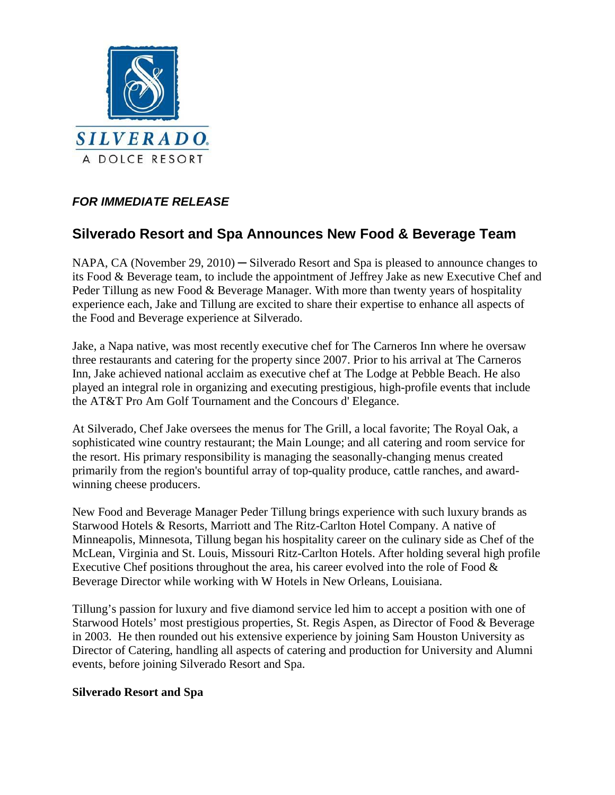

## *FOR IMMEDIATE RELEASE*

# **Silverado Resort and Spa Announces New Food & Beverage Team**

NAPA, CA (November 29, 2010) — Silverado Resort and Spa is pleased to announce changes to its Food & Beverage team, to include the appointment of Jeffrey Jake as new Executive Chef and Peder Tillung as new Food & Beverage Manager. With more than twenty years of hospitality experience each, Jake and Tillung are excited to share their expertise to enhance all aspects of the Food and Beverage experience at Silverado.

Jake, a Napa native, was most recently executive chef for The Carneros Inn where he oversaw three restaurants and catering for the property since 2007. Prior to his arrival at The Carneros Inn, Jake achieved national acclaim as executive chef at The Lodge at Pebble Beach. He also played an integral role in organizing and executing prestigious, high-profile events that include the AT&T Pro Am Golf Tournament and the Concours d' Elegance.

At Silverado, Chef Jake oversees the menus for The Grill, a local favorite; The Royal Oak, a sophisticated wine country restaurant; the Main Lounge; and all catering and room service for the resort. His primary responsibility is managing the seasonally-changing menus created primarily from the region's bountiful array of top-quality produce, cattle ranches, and awardwinning cheese producers.

New Food and Beverage Manager Peder Tillung brings experience with such luxury brands as Starwood Hotels & Resorts, Marriott and The Ritz-Carlton Hotel Company. A native of Minneapolis, Minnesota, Tillung began his hospitality career on the culinary side as Chef of the McLean, Virginia and St. Louis, Missouri Ritz-Carlton Hotels. After holding several high profile Executive Chef positions throughout the area, his career evolved into the role of Food  $\&$ Beverage Director while working with W Hotels in New Orleans, Louisiana.

Tillung's passion for luxury and five diamond service led him to accept a position with one of Starwood Hotels' most prestigious properties, St. Regis Aspen, as Director of Food & Beverage in 2003. He then rounded out his extensive experience by joining Sam Houston University as Director of Catering, handling all aspects of catering and production for University and Alumni events, before joining Silverado Resort and Spa.

#### **Silverado Resort and Spa**